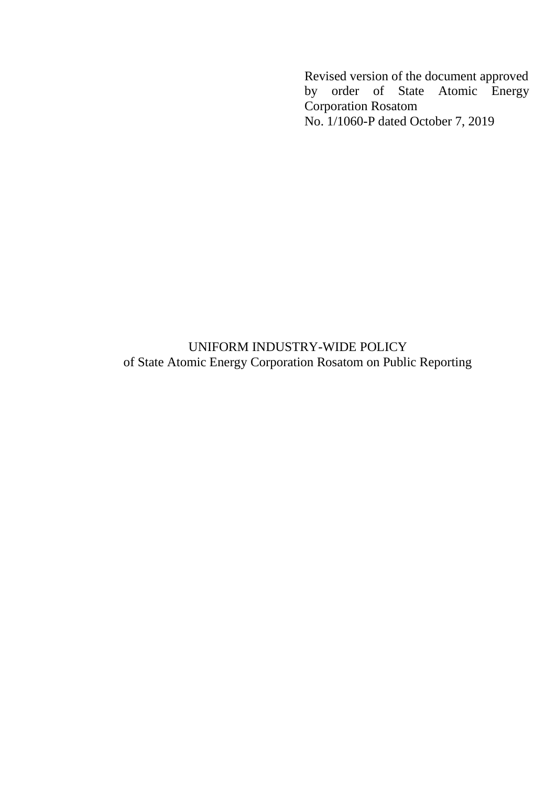Revised version of the document approved by order of State Atomic Energy Corporation Rosatom No. 1/1060-P dated October 7, 2019

# UNIFORM INDUSTRY-WIDE POLICY of State Atomic Energy Corporation Rosatom on Public Reporting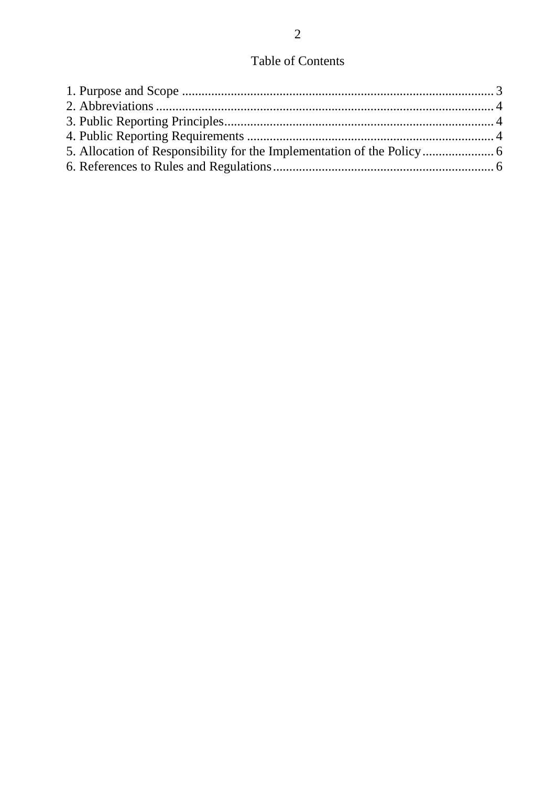# Table of Contents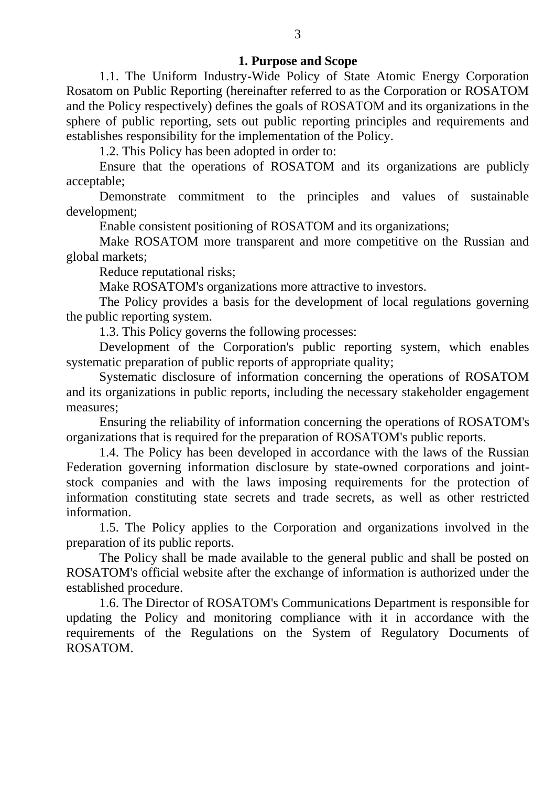#### **1. Purpose and Scope**

<span id="page-2-0"></span>1.1. The Uniform Industry-Wide Policy of State Atomic Energy Corporation Rosatom on Public Reporting (hereinafter referred to as the Corporation or ROSATOM and the Policy respectively) defines the goals of ROSATOM and its organizations in the sphere of public reporting, sets out public reporting principles and requirements and establishes responsibility for the implementation of the Policy.

1.2. This Policy has been adopted in order to:

Ensure that the operations of ROSATOM and its organizations are publicly acceptable;

Demonstrate commitment to the principles and values of sustainable development;

Enable consistent positioning of ROSATOM and its organizations;

Make ROSATOM more transparent and more competitive on the Russian and global markets;

Reduce reputational risks;

Make ROSATOM's organizations more attractive to investors.

The Policy provides a basis for the development of local regulations governing the public reporting system.

1.3. This Policy governs the following processes:

Development of the Corporation's public reporting system, which enables systematic preparation of public reports of appropriate quality;

Systematic disclosure of information concerning the operations of ROSATOM and its organizations in public reports, including the necessary stakeholder engagement measures;

Ensuring the reliability of information concerning the operations of ROSATOM's organizations that is required for the preparation of ROSATOM's public reports.

1.4. The Policy has been developed in accordance with the laws of the Russian Federation governing information disclosure by state-owned corporations and jointstock companies and with the laws imposing requirements for the protection of information constituting state secrets and trade secrets, as well as other restricted information.

1.5. The Policy applies to the Corporation and organizations involved in the preparation of its public reports.

The Policy shall be made available to the general public and shall be posted on ROSATOM's official website after the exchange of information is authorized under the established procedure.

1.6. The Director of ROSATOM's Communications Department is responsible for updating the Policy and monitoring compliance with it in accordance with the requirements of the Regulations on the System of Regulatory Documents of ROSATOM.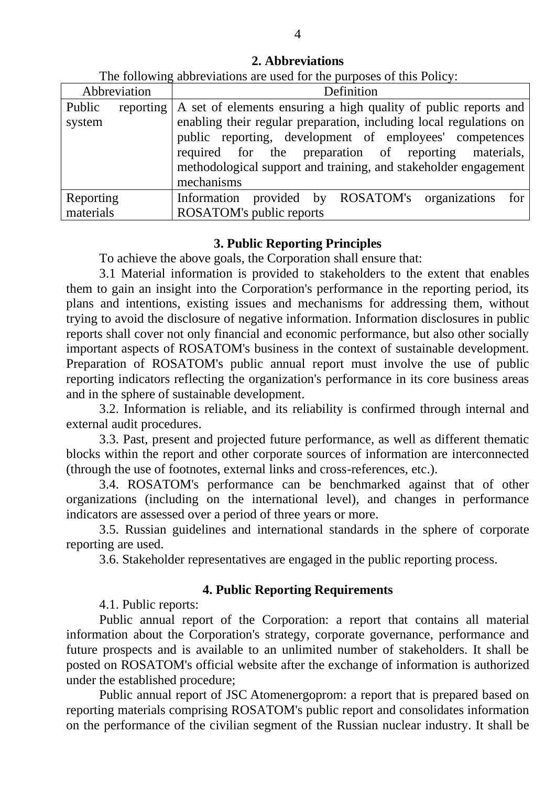### **2. Abbreviations**

The following abbreviations are used for the purposes of this Policy:

<span id="page-3-0"></span>

| Abbreviation |           | Definition                                                         |
|--------------|-----------|--------------------------------------------------------------------|
| Public       | reporting | A set of elements ensuring a high quality of public reports and    |
| system       |           | enabling their regular preparation, including local regulations on |
|              |           | public reporting, development of employees' competences            |
|              |           | required for the preparation of reporting materials,               |
|              |           | methodological support and training, and stakeholder engagement    |
|              |           | mechanisms                                                         |
| Reporting    |           | provided by ROSATOM's organizations for<br>Information             |
| materials    |           | ROSATOM's public reports                                           |

# **3. Public Reporting Principles**

To achieve the above goals, the Corporation shall ensure that:

<span id="page-3-1"></span>3.1 Material information is provided to stakeholders to the extent that enables them to gain an insight into the Corporation's performance in the reporting period, its plans and intentions, existing issues and mechanisms for addressing them, without trying to avoid the disclosure of negative information. Information disclosures in public reports shall cover not only financial and economic performance, but also other socially important aspects of ROSATOM's business in the context of sustainable development. Preparation of ROSATOM's public annual report must involve the use of public reporting indicators reflecting the organization's performance in its core business areas and in the sphere of sustainable development.

3.2. Information is reliable, and its reliability is confirmed through internal and external audit procedures.

3.3. Past, present and projected future performance, as well as different thematic blocks within the report and other corporate sources of information are interconnected (through the use of footnotes, external links and cross-references, etc.).

3.4. ROSATOM's performance can be benchmarked against that of other organizations (including on the international level), and changes in performance indicators are assessed over a period of three years or more.

3.5. Russian guidelines and international standards in the sphere of corporate reporting are used.

3.6. Stakeholder representatives are engaged in the public reporting process.

# **4. Public Reporting Requirements**

4.1. Public reports:

<span id="page-3-2"></span>Public annual report of the Corporation: a report that contains all material information about the Corporation's strategy, corporate governance, performance and future prospects and is available to an unlimited number of stakeholders. It shall be posted on ROSATOM's official website after the exchange of information is authorized under the established procedure;

Public annual report of JSC Atomenergoprom: a report that is prepared based on reporting materials comprising ROSATOM's public report and consolidates information on the performance of the civilian segment of the Russian nuclear industry. It shall be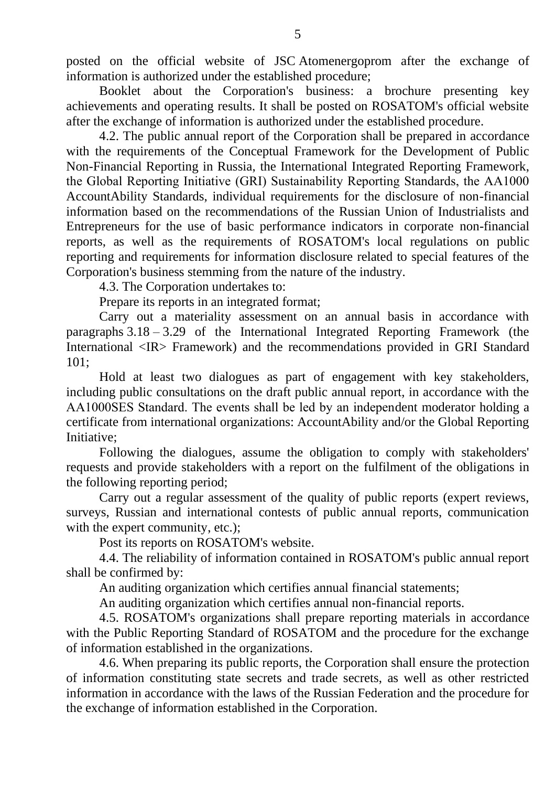posted on the official website of JSC Atomenergoprom after the exchange of information is authorized under the established procedure;

Booklet about the Corporation's business: a brochure presenting key achievements and operating results. It shall be posted on ROSATOM's official website after the exchange of information is authorized under the established procedure.

4.2. The public annual report of the Corporation shall be prepared in accordance with the requirements of the Conceptual Framework for the Development of Public Non-Financial Reporting in Russia, the International Integrated Reporting Framework, the Global Reporting Initiative (GRI) Sustainability Reporting Standards, the АА1000 AccountAbility Standards, individual requirements for the disclosure of non-financial information based on the recommendations of the Russian Union of Industrialists and Entrepreneurs for the use of basic performance indicators in corporate non-financial reports, as well as the requirements of ROSATOM's local regulations on public reporting and requirements for information disclosure related to special features of the Corporation's business stemming from the nature of the industry.

4.3. The Corporation undertakes to:

Prepare its reports in an integrated format;

Carry out a materiality assessment on an annual basis in accordance with paragraphs 3.18 – 3.29 of the International Integrated Reporting Framework (the International <IR> Framework) and the recommendations provided in GRI Standard 101;

Hold at least two dialogues as part of engagement with key stakeholders, including public consultations on the draft public annual report, in accordance with the АА1000SES Standard. The events shall be led by an independent moderator holding a certificate from international organizations: AccountAbility and/or the Global Reporting Initiative;

Following the dialogues, assume the obligation to comply with stakeholders' requests and provide stakeholders with a report on the fulfilment of the obligations in the following reporting period;

Carry out a regular assessment of the quality of public reports (expert reviews, surveys, Russian and international contests of public annual reports, communication with the expert community, etc.);

Post its reports on ROSATOM's website.

4.4. The reliability of information contained in ROSATOM's public annual report shall be confirmed by:

An auditing organization which certifies annual financial statements;

An auditing organization which certifies annual non-financial reports.

4.5. ROSATOM's organizations shall prepare reporting materials in accordance with the Public Reporting Standard of ROSATOM and the procedure for the exchange of information established in the organizations.

4.6. When preparing its public reports, the Corporation shall ensure the protection of information constituting state secrets and trade secrets, as well as other restricted information in accordance with the laws of the Russian Federation and the procedure for the exchange of information established in the Corporation.